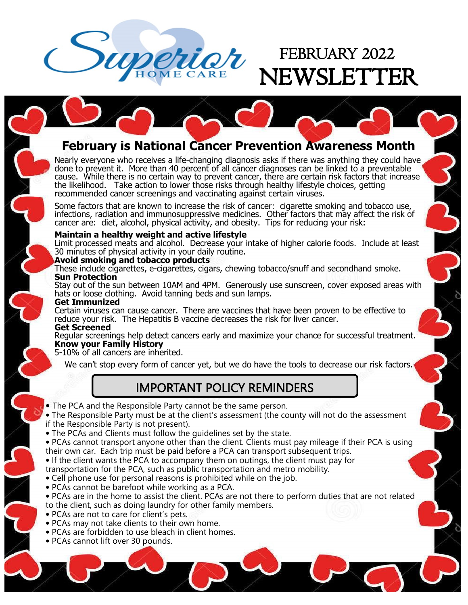

## FEBRUARY 2022 VSLETTER

### **February is National Cancer Prevention Awareness Month**

Nearly everyone who receives a life-changing diagnosis asks if there was anything they could have done to prevent it. More than 40 percent of all cancer diagnoses can be linked to a preventable cause. While there is no certain way to prevent cancer, there are certain risk factors that increase the likelihood. Take action to lower those risks through healthy lifestyle choices, getting recommended cancer screenings and vaccinating against certain viruses.

Some factors that are known to increase the risk of cancer: cigarette smoking and tobacco use, infections, radiation and immunosuppressive medicines. Other factors that may affect the risk of cancer are: diet, alcohol, physical activity, and obesity. Tips for reducing your risk:

#### **Maintain a healthy weight and active lifestyle**

Limit processed meats and alcohol. Decrease your intake of higher calorie foods. Include at least 30 minutes of physical activity in your daily routine.

#### **Avoid smoking and tobacco products**

These include cigarettes, e-cigarettes, cigars, chewing tobacco/snuff and secondhand smoke. **Sun Protection**

Stay out of the sun between 10AM and 4PM. Generously use sunscreen, cover exposed areas with hats or loose clothing. Avoid tanning beds and sun lamps.

#### **Get Immunized**

Certain viruses can cause cancer. There are vaccines that have been proven to be effective to reduce your risk. The Hepatitis B vaccine decreases the risk for liver cancer. **Get Screened**

Regular screenings help detect cancers early and maximize your chance for successful treatment. **Know your Family History**

5-10% of all cancers are inherited.

We can't stop every form of cancer yet, but we do have the tools to decrease our risk factors.

### IMPORTANT POLICY REMINDERS

• The PCA and the Responsible Party cannot be the same person.

• The Responsible Party must be at the client's assessment (the county will not do the assessment if the Responsible Party is not present).

- The PCAs and Clients must follow the guidelines set by the state.
- PCAs cannot transport anyone other than the client. Clients must pay mileage if their PCA is using their own car. Each trip must be paid before a PCA can transport subsequent trips.

• If the client wants the PCA to accompany them on outings, the client must pay for

transportation for the PCA, such as public transportation and metro mobility.

- Cell phone use for personal reasons is prohibited while on the job.
- PCAs cannot be barefoot while working as a PCA.
- PCAs are in the home to assist the client. PCAs are not there to perform duties that are not related to the client, such as doing laundry for other family members.
- PCAs are not to care for client's pets.
- PCAs may not take clients to their own home.
- PCAs are forbidden to use bleach in client homes.
- PCAs cannot lift over 30 pounds.